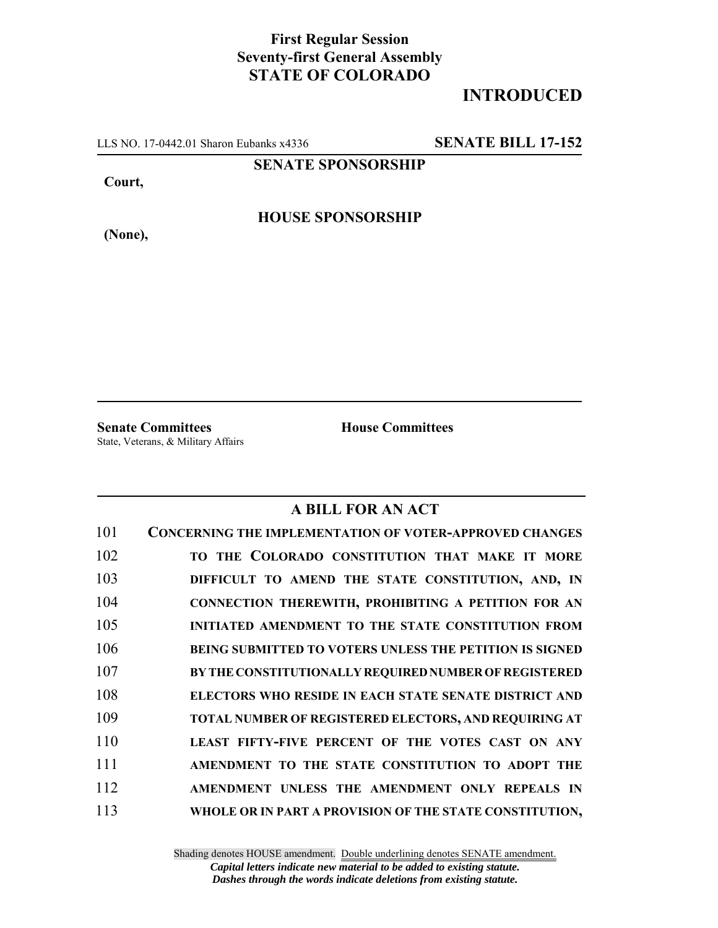## **First Regular Session Seventy-first General Assembly STATE OF COLORADO**

## **INTRODUCED**

LLS NO. 17-0442.01 Sharon Eubanks x4336 **SENATE BILL 17-152**

**SENATE SPONSORSHIP**

**Court,**

**HOUSE SPONSORSHIP**

**(None),**

**Senate Committees House Committees** State, Veterans, & Military Affairs

## **A BILL FOR AN ACT**

| 101 | <b>CONCERNING THE IMPLEMENTATION OF VOTER-APPROVED CHANGES</b> |
|-----|----------------------------------------------------------------|
| 102 | TO THE COLORADO CONSTITUTION THAT MAKE IT MORE                 |
| 103 | DIFFICULT TO AMEND THE STATE CONSTITUTION, AND, IN             |
| 104 | CONNECTION THEREWITH, PROHIBITING A PETITION FOR AN            |
| 105 | <b>INITIATED AMENDMENT TO THE STATE CONSTITUTION FROM</b>      |
| 106 | <b>BEING SUBMITTED TO VOTERS UNLESS THE PETITION IS SIGNED</b> |
| 107 | BY THE CONSTITUTIONALLY REQUIRED NUMBER OF REGISTERED          |
| 108 | ELECTORS WHO RESIDE IN EACH STATE SENATE DISTRICT AND          |
| 109 | <b>TOTAL NUMBER OF REGISTERED ELECTORS, AND REQUIRING AT</b>   |
| 110 | LEAST FIFTY-FIVE PERCENT OF THE VOTES CAST ON ANY              |
| 111 | AMENDMENT TO THE STATE CONSTITUTION TO ADOPT THE               |
| 112 | AMENDMENT UNLESS THE AMENDMENT ONLY REPEALS IN                 |
| 113 | WHOLE OR IN PART A PROVISION OF THE STATE CONSTITUTION,        |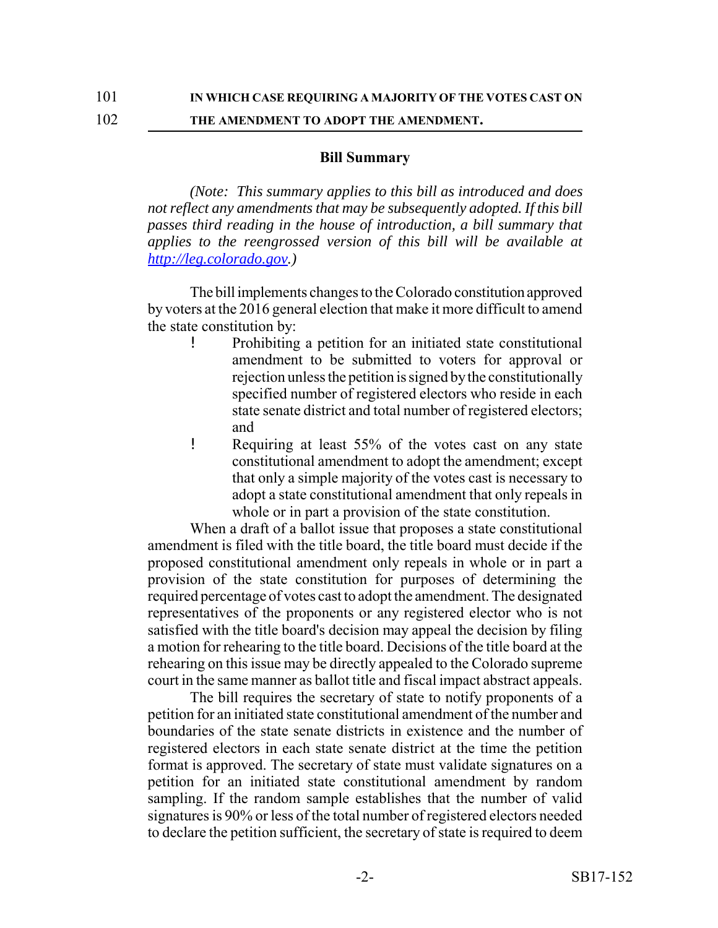102 **THE AMENDMENT TO ADOPT THE AMENDMENT.**

## **Bill Summary**

*(Note: This summary applies to this bill as introduced and does not reflect any amendments that may be subsequently adopted. If this bill passes third reading in the house of introduction, a bill summary that applies to the reengrossed version of this bill will be available at http://leg.colorado.gov.)*

The bill implements changes to the Colorado constitution approved by voters at the 2016 general election that make it more difficult to amend the state constitution by:

- ! Prohibiting a petition for an initiated state constitutional amendment to be submitted to voters for approval or rejection unless the petition is signed by the constitutionally specified number of registered electors who reside in each state senate district and total number of registered electors; and
- ! Requiring at least 55% of the votes cast on any state constitutional amendment to adopt the amendment; except that only a simple majority of the votes cast is necessary to adopt a state constitutional amendment that only repeals in whole or in part a provision of the state constitution.

When a draft of a ballot issue that proposes a state constitutional amendment is filed with the title board, the title board must decide if the proposed constitutional amendment only repeals in whole or in part a provision of the state constitution for purposes of determining the required percentage of votes cast to adopt the amendment. The designated representatives of the proponents or any registered elector who is not satisfied with the title board's decision may appeal the decision by filing a motion for rehearing to the title board. Decisions of the title board at the rehearing on this issue may be directly appealed to the Colorado supreme court in the same manner as ballot title and fiscal impact abstract appeals.

The bill requires the secretary of state to notify proponents of a petition for an initiated state constitutional amendment of the number and boundaries of the state senate districts in existence and the number of registered electors in each state senate district at the time the petition format is approved. The secretary of state must validate signatures on a petition for an initiated state constitutional amendment by random sampling. If the random sample establishes that the number of valid signatures is 90% or less of the total number of registered electors needed to declare the petition sufficient, the secretary of state is required to deem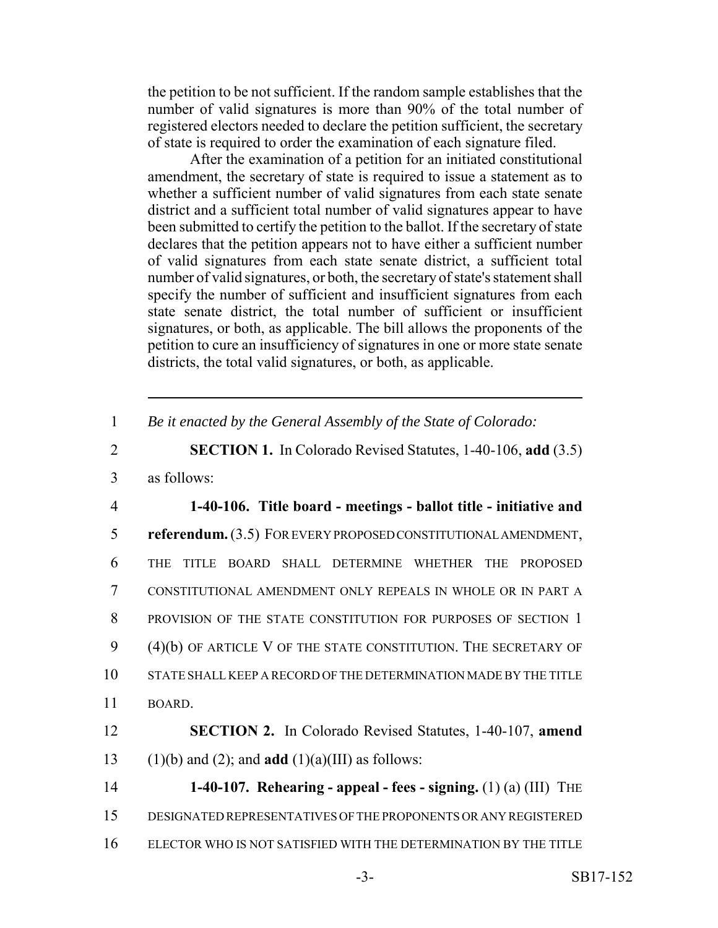the petition to be not sufficient. If the random sample establishes that the number of valid signatures is more than 90% of the total number of registered electors needed to declare the petition sufficient, the secretary of state is required to order the examination of each signature filed.

After the examination of a petition for an initiated constitutional amendment, the secretary of state is required to issue a statement as to whether a sufficient number of valid signatures from each state senate district and a sufficient total number of valid signatures appear to have been submitted to certify the petition to the ballot. If the secretary of state declares that the petition appears not to have either a sufficient number of valid signatures from each state senate district, a sufficient total number of valid signatures, or both, the secretary of state's statement shall specify the number of sufficient and insufficient signatures from each state senate district, the total number of sufficient or insufficient signatures, or both, as applicable. The bill allows the proponents of the petition to cure an insufficiency of signatures in one or more state senate districts, the total valid signatures, or both, as applicable.

1 *Be it enacted by the General Assembly of the State of Colorado:*

- 2 **SECTION 1.** In Colorado Revised Statutes, 1-40-106, **add** (3.5)
- 3 as follows:

 **1-40-106. Title board - meetings - ballot title - initiative and referendum.** (3.5) FOR EVERY PROPOSED CONSTITUTIONAL AMENDMENT, THE TITLE BOARD SHALL DETERMINE WHETHER THE PROPOSED CONSTITUTIONAL AMENDMENT ONLY REPEALS IN WHOLE OR IN PART A 8 PROVISION OF THE STATE CONSTITUTION FOR PURPOSES OF SECTION 1 (4)(b) OF ARTICLE V OF THE STATE CONSTITUTION. THE SECRETARY OF STATE SHALL KEEP A RECORD OF THE DETERMINATION MADE BY THE TITLE 11 BOARD.

12 **SECTION 2.** In Colorado Revised Statutes, 1-40-107, **amend** 13 (1)(b) and (2); and **add** (1)(a)(III) as follows:

14 **1-40-107. Rehearing - appeal - fees - signing.** (1) (a) (III) THE 15 DESIGNATED REPRESENTATIVES OF THE PROPONENTS OR ANY REGISTERED 16 ELECTOR WHO IS NOT SATISFIED WITH THE DETERMINATION BY THE TITLE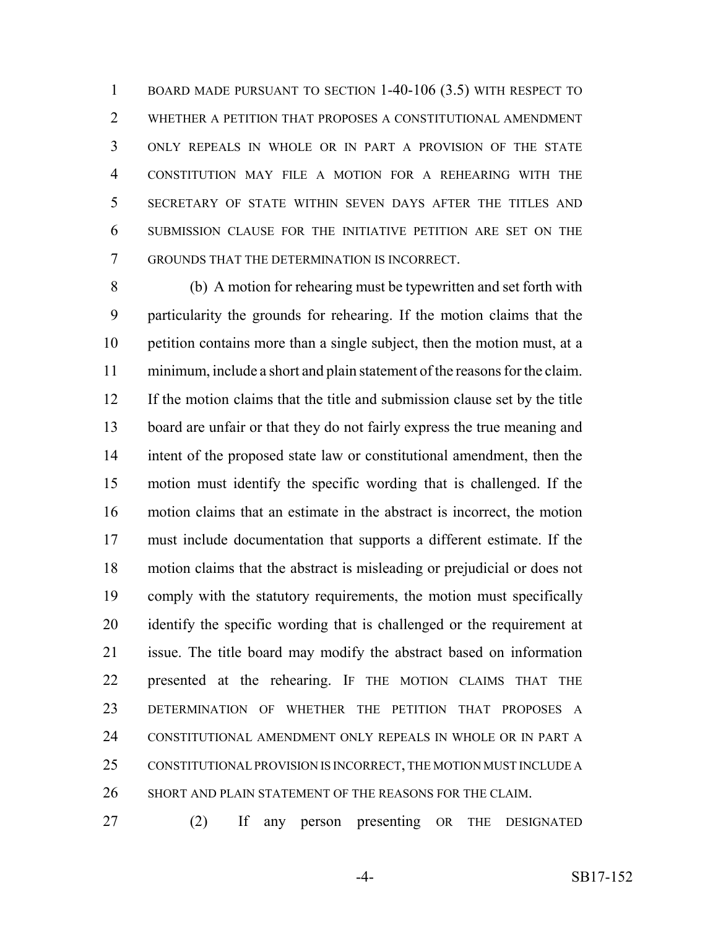BOARD MADE PURSUANT TO SECTION 1-40-106 (3.5) WITH RESPECT TO WHETHER A PETITION THAT PROPOSES A CONSTITUTIONAL AMENDMENT ONLY REPEALS IN WHOLE OR IN PART A PROVISION OF THE STATE CONSTITUTION MAY FILE A MOTION FOR A REHEARING WITH THE SECRETARY OF STATE WITHIN SEVEN DAYS AFTER THE TITLES AND SUBMISSION CLAUSE FOR THE INITIATIVE PETITION ARE SET ON THE GROUNDS THAT THE DETERMINATION IS INCORRECT.

 (b) A motion for rehearing must be typewritten and set forth with particularity the grounds for rehearing. If the motion claims that the petition contains more than a single subject, then the motion must, at a minimum, include a short and plain statement of the reasons for the claim. If the motion claims that the title and submission clause set by the title board are unfair or that they do not fairly express the true meaning and intent of the proposed state law or constitutional amendment, then the motion must identify the specific wording that is challenged. If the motion claims that an estimate in the abstract is incorrect, the motion must include documentation that supports a different estimate. If the motion claims that the abstract is misleading or prejudicial or does not comply with the statutory requirements, the motion must specifically identify the specific wording that is challenged or the requirement at issue. The title board may modify the abstract based on information presented at the rehearing. IF THE MOTION CLAIMS THAT THE DETERMINATION OF WHETHER THE PETITION THAT PROPOSES A CONSTITUTIONAL AMENDMENT ONLY REPEALS IN WHOLE OR IN PART A CONSTITUTIONAL PROVISION IS INCORRECT, THE MOTION MUST INCLUDE A SHORT AND PLAIN STATEMENT OF THE REASONS FOR THE CLAIM.

(2) If any person presenting OR THE DESIGNATED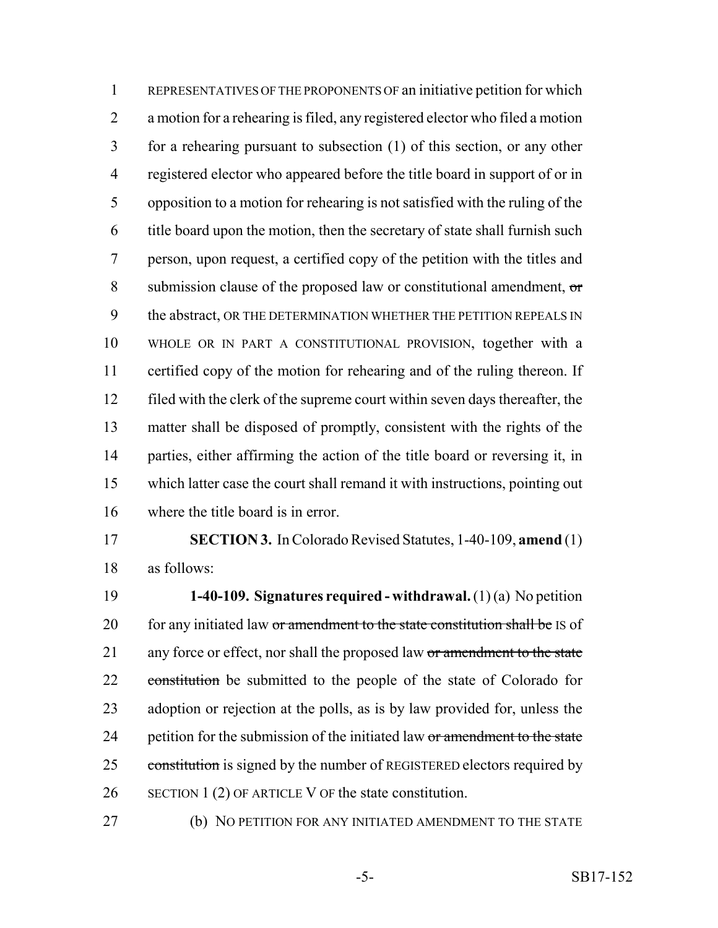REPRESENTATIVES OF THE PROPONENTS OF an initiative petition for which a motion for a rehearing is filed, any registered elector who filed a motion for a rehearing pursuant to subsection (1) of this section, or any other registered elector who appeared before the title board in support of or in opposition to a motion for rehearing is not satisfied with the ruling of the title board upon the motion, then the secretary of state shall furnish such person, upon request, a certified copy of the petition with the titles and submission clause of the proposed law or constitutional amendment, or 9 the abstract, OR THE DETERMINATION WHETHER THE PETITION REPEALS IN WHOLE OR IN PART A CONSTITUTIONAL PROVISION, together with a certified copy of the motion for rehearing and of the ruling thereon. If filed with the clerk of the supreme court within seven days thereafter, the matter shall be disposed of promptly, consistent with the rights of the parties, either affirming the action of the title board or reversing it, in which latter case the court shall remand it with instructions, pointing out where the title board is in error.

 **SECTION 3.** In Colorado Revised Statutes, 1-40-109, **amend** (1) as follows:

 **1-40-109. Signatures required - withdrawal.** (1) (a) No petition 20 for any initiated law or amendment to the state constitution shall be IS of 21 any force or effect, nor shall the proposed law or amendment to the state 22 constitution be submitted to the people of the state of Colorado for adoption or rejection at the polls, as is by law provided for, unless the 24 petition for the submission of the initiated law or amendment to the state 25 constitution is signed by the number of REGISTERED electors required by SECTION 1 (2) OF ARTICLE V OF the state constitution.

(b) NO PETITION FOR ANY INITIATED AMENDMENT TO THE STATE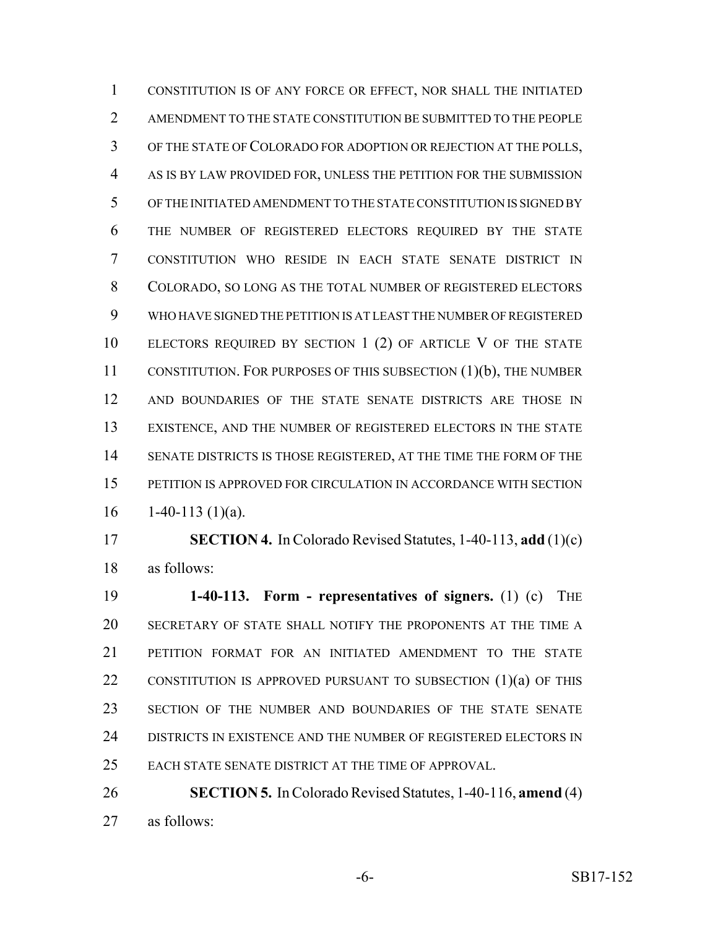CONSTITUTION IS OF ANY FORCE OR EFFECT, NOR SHALL THE INITIATED AMENDMENT TO THE STATE CONSTITUTION BE SUBMITTED TO THE PEOPLE OF THE STATE OF COLORADO FOR ADOPTION OR REJECTION AT THE POLLS, AS IS BY LAW PROVIDED FOR, UNLESS THE PETITION FOR THE SUBMISSION OF THE INITIATED AMENDMENT TO THE STATE CONSTITUTION IS SIGNED BY THE NUMBER OF REGISTERED ELECTORS REQUIRED BY THE STATE CONSTITUTION WHO RESIDE IN EACH STATE SENATE DISTRICT IN COLORADO, SO LONG AS THE TOTAL NUMBER OF REGISTERED ELECTORS WHO HAVE SIGNED THE PETITION IS AT LEAST THE NUMBER OF REGISTERED 10 ELECTORS REQUIRED BY SECTION 1 (2) OF ARTICLE V OF THE STATE CONSTITUTION. FOR PURPOSES OF THIS SUBSECTION (1)(b), THE NUMBER AND BOUNDARIES OF THE STATE SENATE DISTRICTS ARE THOSE IN EXISTENCE, AND THE NUMBER OF REGISTERED ELECTORS IN THE STATE SENATE DISTRICTS IS THOSE REGISTERED, AT THE TIME THE FORM OF THE PETITION IS APPROVED FOR CIRCULATION IN ACCORDANCE WITH SECTION  $16 \qquad 1-40-113 \; (1)(a).$ 

 **SECTION 4.** In Colorado Revised Statutes, 1-40-113, **add** (1)(c) as follows:

 **1-40-113. Form - representatives of signers.** (1) (c) THE SECRETARY OF STATE SHALL NOTIFY THE PROPONENTS AT THE TIME A PETITION FORMAT FOR AN INITIATED AMENDMENT TO THE STATE 22 CONSTITUTION IS APPROVED PURSUANT TO SUBSECTION (1)(a) OF THIS SECTION OF THE NUMBER AND BOUNDARIES OF THE STATE SENATE DISTRICTS IN EXISTENCE AND THE NUMBER OF REGISTERED ELECTORS IN EACH STATE SENATE DISTRICT AT THE TIME OF APPROVAL.

 **SECTION 5.** In Colorado Revised Statutes, 1-40-116, **amend** (4) as follows: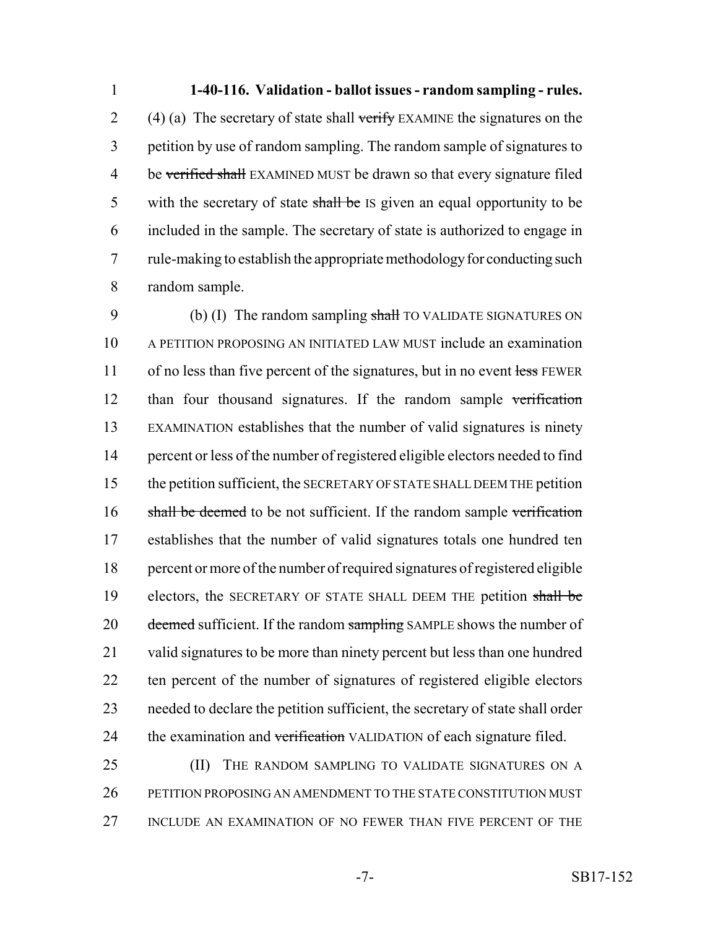**1-40-116. Validation - ballot issues - random sampling - rules.** 2 (4) (a) The secretary of state shall verify EXAMINE the signatures on the petition by use of random sampling. The random sample of signatures to 4 be verified shall EXAMINED MUST be drawn so that every signature filed 5 with the secretary of state shall be IS given an equal opportunity to be included in the sample. The secretary of state is authorized to engage in rule-making to establish the appropriate methodology for conducting such random sample.

9 (b) (I) The random sampling shall TO VALIDATE SIGNATURES ON A PETITION PROPOSING AN INITIATED LAW MUST include an examination 11 of no less than five percent of the signatures, but in no event less FEWER than four thousand signatures. If the random sample verification EXAMINATION establishes that the number of valid signatures is ninety percent or less of the number of registered eligible electors needed to find the petition sufficient, the SECRETARY OF STATE SHALL DEEM THE petition 16 shall be deemed to be not sufficient. If the random sample verification establishes that the number of valid signatures totals one hundred ten percent or more of the number of required signatures of registered eligible 19 electors, the SECRETARY OF STATE SHALL DEEM THE petition shall be 20 <del>deemed</del> sufficient. If the random sampling SAMPLE shows the number of valid signatures to be more than ninety percent but less than one hundred ten percent of the number of signatures of registered eligible electors needed to declare the petition sufficient, the secretary of state shall order 24 the examination and verification VALIDATION of each signature filed.

25 (II) THE RANDOM SAMPLING TO VALIDATE SIGNATURES ON A PETITION PROPOSING AN AMENDMENT TO THE STATE CONSTITUTION MUST INCLUDE AN EXAMINATION OF NO FEWER THAN FIVE PERCENT OF THE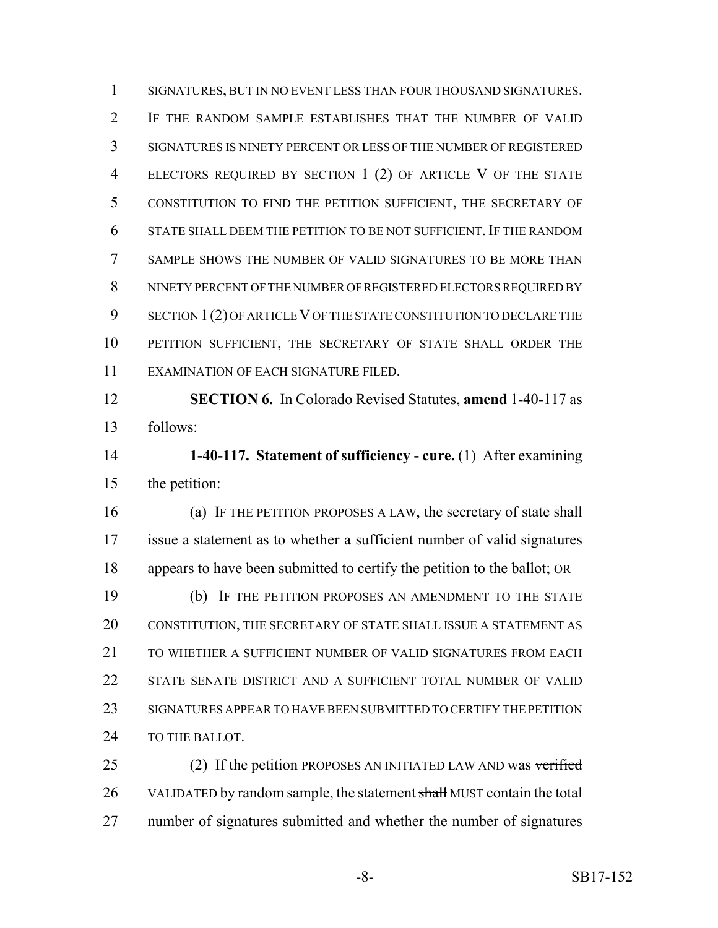SIGNATURES, BUT IN NO EVENT LESS THAN FOUR THOUSAND SIGNATURES. IF THE RANDOM SAMPLE ESTABLISHES THAT THE NUMBER OF VALID SIGNATURES IS NINETY PERCENT OR LESS OF THE NUMBER OF REGISTERED ELECTORS REQUIRED BY SECTION 1 (2) OF ARTICLE V OF THE STATE CONSTITUTION TO FIND THE PETITION SUFFICIENT, THE SECRETARY OF STATE SHALL DEEM THE PETITION TO BE NOT SUFFICIENT. IF THE RANDOM SAMPLE SHOWS THE NUMBER OF VALID SIGNATURES TO BE MORE THAN NINETY PERCENT OF THE NUMBER OF REGISTERED ELECTORS REQUIRED BY SECTION 1(2) OF ARTICLE V OF THE STATE CONSTITUTION TO DECLARE THE PETITION SUFFICIENT, THE SECRETARY OF STATE SHALL ORDER THE EXAMINATION OF EACH SIGNATURE FILED. **SECTION 6.** In Colorado Revised Statutes, **amend** 1-40-117 as

follows:

 **1-40-117. Statement of sufficiency - cure.** (1) After examining the petition:

 (a) IF THE PETITION PROPOSES A LAW, the secretary of state shall issue a statement as to whether a sufficient number of valid signatures appears to have been submitted to certify the petition to the ballot; OR

 (b) IF THE PETITION PROPOSES AN AMENDMENT TO THE STATE CONSTITUTION, THE SECRETARY OF STATE SHALL ISSUE A STATEMENT AS 21 TO WHETHER A SUFFICIENT NUMBER OF VALID SIGNATURES FROM EACH 22 STATE SENATE DISTRICT AND A SUFFICIENT TOTAL NUMBER OF VALID SIGNATURES APPEAR TO HAVE BEEN SUBMITTED TO CERTIFY THE PETITION 24 TO THE BALLOT.

25 (2) If the petition PROPOSES AN INITIATED LAW AND was verified 26 VALIDATED by random sample, the statement shall MUST contain the total number of signatures submitted and whether the number of signatures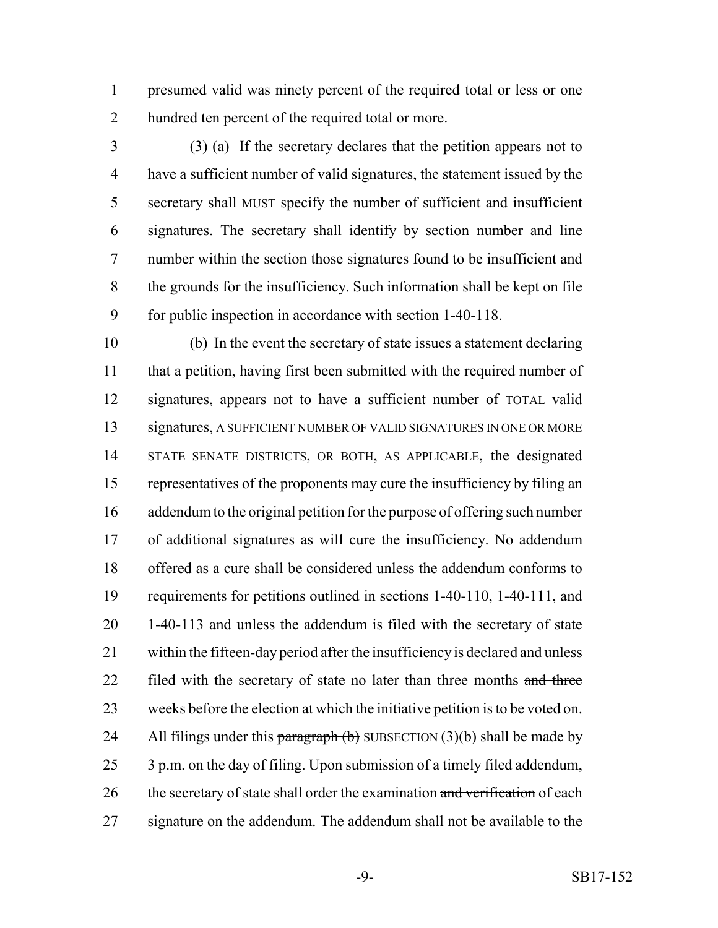presumed valid was ninety percent of the required total or less or one hundred ten percent of the required total or more.

 (3) (a) If the secretary declares that the petition appears not to have a sufficient number of valid signatures, the statement issued by the 5 secretary shall MUST specify the number of sufficient and insufficient signatures. The secretary shall identify by section number and line number within the section those signatures found to be insufficient and the grounds for the insufficiency. Such information shall be kept on file for public inspection in accordance with section 1-40-118.

 (b) In the event the secretary of state issues a statement declaring 11 that a petition, having first been submitted with the required number of signatures, appears not to have a sufficient number of TOTAL valid signatures, A SUFFICIENT NUMBER OF VALID SIGNATURES IN ONE OR MORE STATE SENATE DISTRICTS, OR BOTH, AS APPLICABLE, the designated representatives of the proponents may cure the insufficiency by filing an addendum to the original petition for the purpose of offering such number of additional signatures as will cure the insufficiency. No addendum offered as a cure shall be considered unless the addendum conforms to requirements for petitions outlined in sections 1-40-110, 1-40-111, and 1-40-113 and unless the addendum is filed with the secretary of state within the fifteen-day period after the insufficiency is declared and unless 22 filed with the secretary of state no later than three months and three 23 weeks before the election at which the initiative petition is to be voted on. 24 All filings under this paragraph  $(b)$  SUBSECTION  $(3)(b)$  shall be made by 3 p.m. on the day of filing. Upon submission of a timely filed addendum, 26 the secretary of state shall order the examination and verification of each signature on the addendum. The addendum shall not be available to the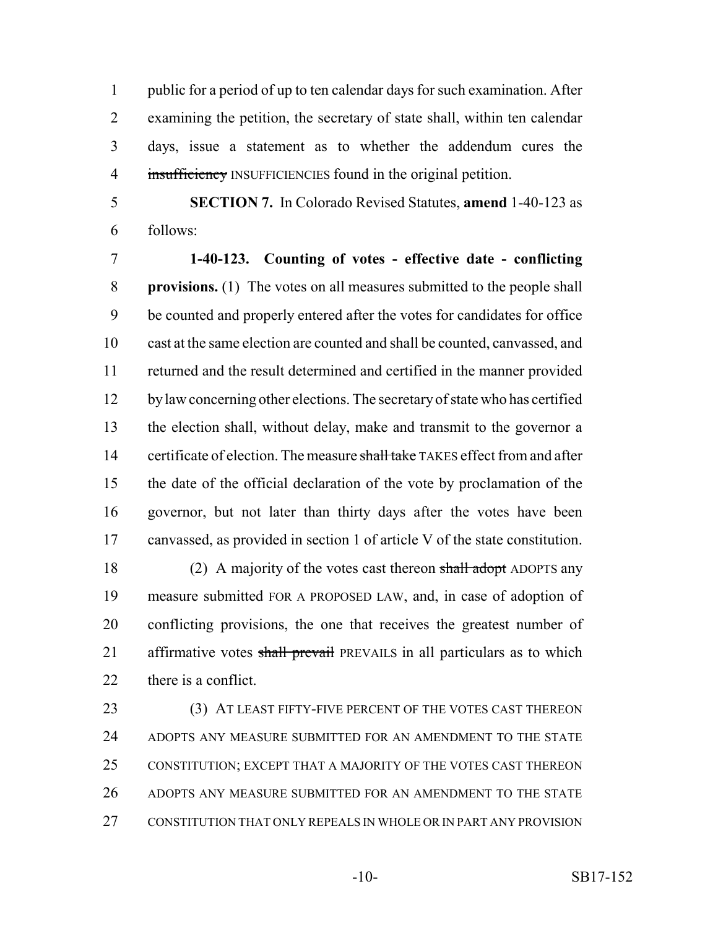public for a period of up to ten calendar days for such examination. After examining the petition, the secretary of state shall, within ten calendar days, issue a statement as to whether the addendum cures the 4 insufficiency INSUFFICIENCIES found in the original petition.

follows:

**SECTION 7.** In Colorado Revised Statutes, **amend** 1-40-123 as

 **1-40-123. Counting of votes - effective date - conflicting provisions.** (1) The votes on all measures submitted to the people shall be counted and properly entered after the votes for candidates for office cast at the same election are counted and shall be counted, canvassed, and returned and the result determined and certified in the manner provided by law concerning other elections. The secretary of state who has certified the election shall, without delay, make and transmit to the governor a 14 certificate of election. The measure shall take TAKES effect from and after the date of the official declaration of the vote by proclamation of the governor, but not later than thirty days after the votes have been canvassed, as provided in section 1 of article V of the state constitution.

18 (2) A majority of the votes cast thereon shall adopt ADOPTS any measure submitted FOR A PROPOSED LAW, and, in case of adoption of conflicting provisions, the one that receives the greatest number of 21 affirmative votes shall prevail PREVAILS in all particulars as to which 22 there is a conflict.

 (3) AT LEAST FIFTY-FIVE PERCENT OF THE VOTES CAST THEREON 24 ADOPTS ANY MEASURE SUBMITTED FOR AN AMENDMENT TO THE STATE CONSTITUTION; EXCEPT THAT A MAJORITY OF THE VOTES CAST THEREON ADOPTS ANY MEASURE SUBMITTED FOR AN AMENDMENT TO THE STATE CONSTITUTION THAT ONLY REPEALS IN WHOLE OR IN PART ANY PROVISION